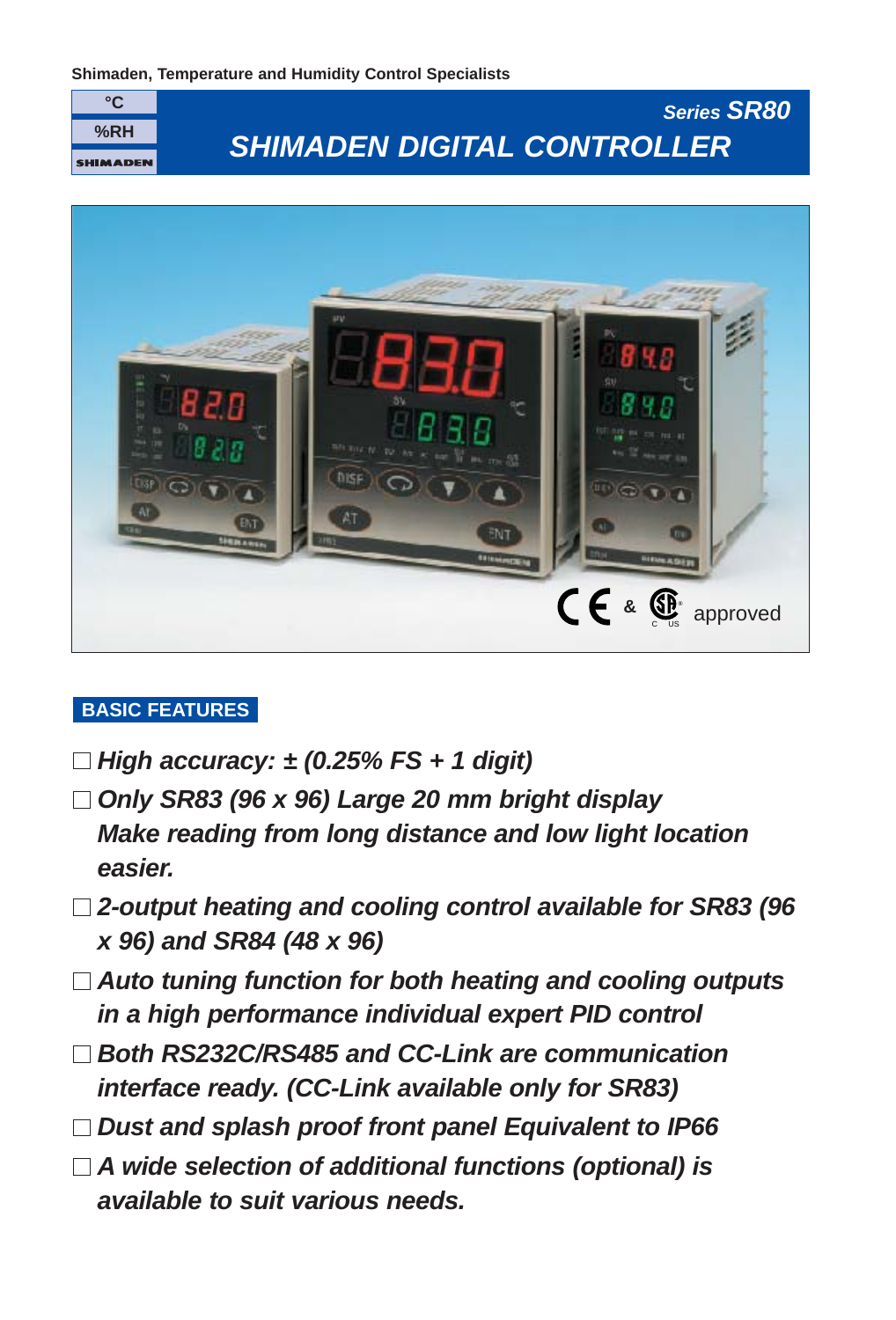



## **BASIC FEATURES**

- **High accuracy: ± (0.25% FS + 1 digit)**
- **Only SR83 (96 x 96) Large 20 mm bright display Make reading from long distance and low light location easier.**
- **2-output heating and cooling control available for SR83 (96 x 96) and SR84 (48 x 96)**
- **Auto tuning function for both heating and cooling outputs in a high performance individual expert PID control**
- **Both RS232C/RS485 and CC-Link are communication interface ready. (CC-Link available only for SR83)**
- **Dust and splash proof front panel Equivalent to IP66**
- **A wide selection of additional functions (optional) is available to suit various needs.**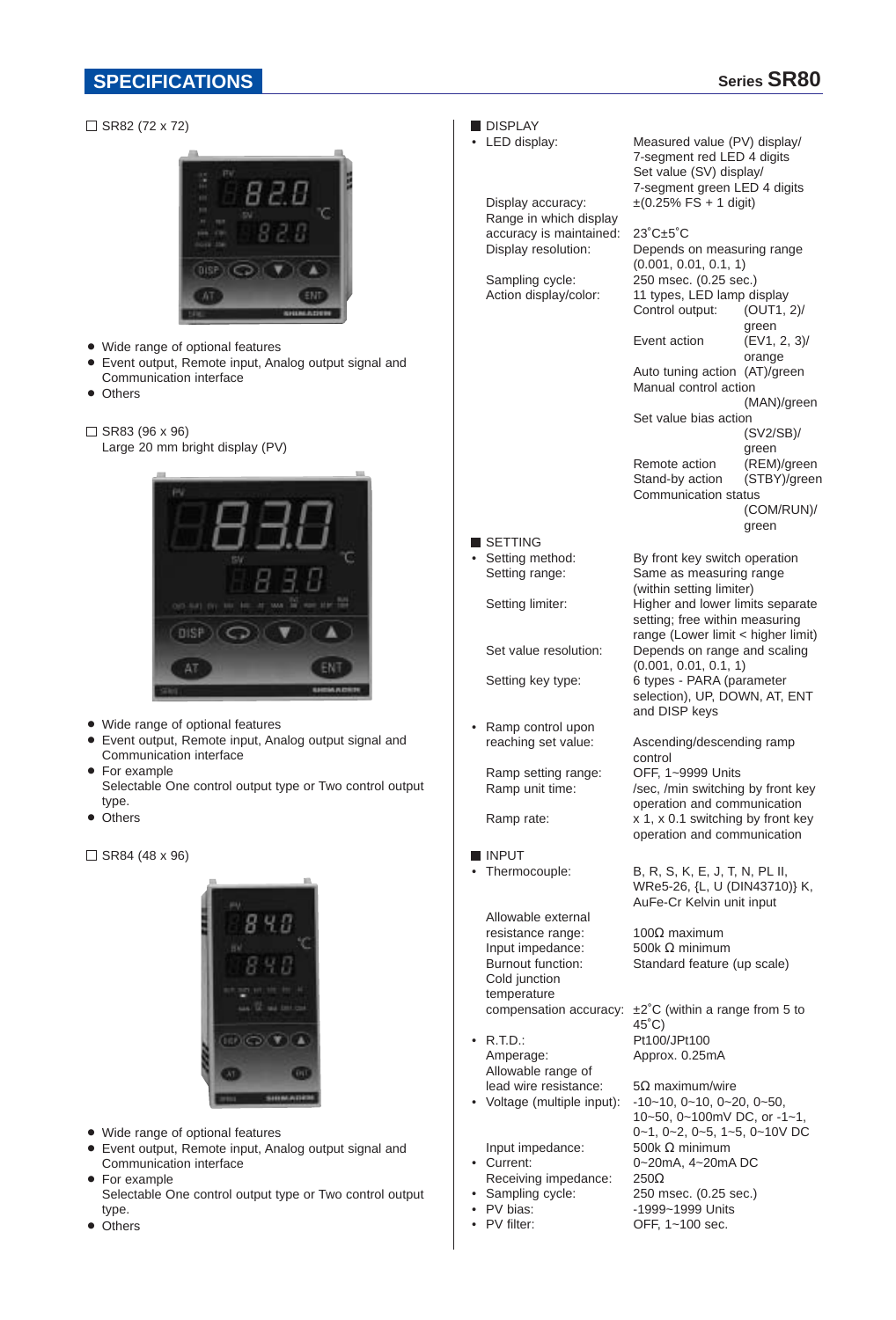### **SPECIFICATIONS Series SR80**



• Others

PV filter: OFF, 1~100 sec.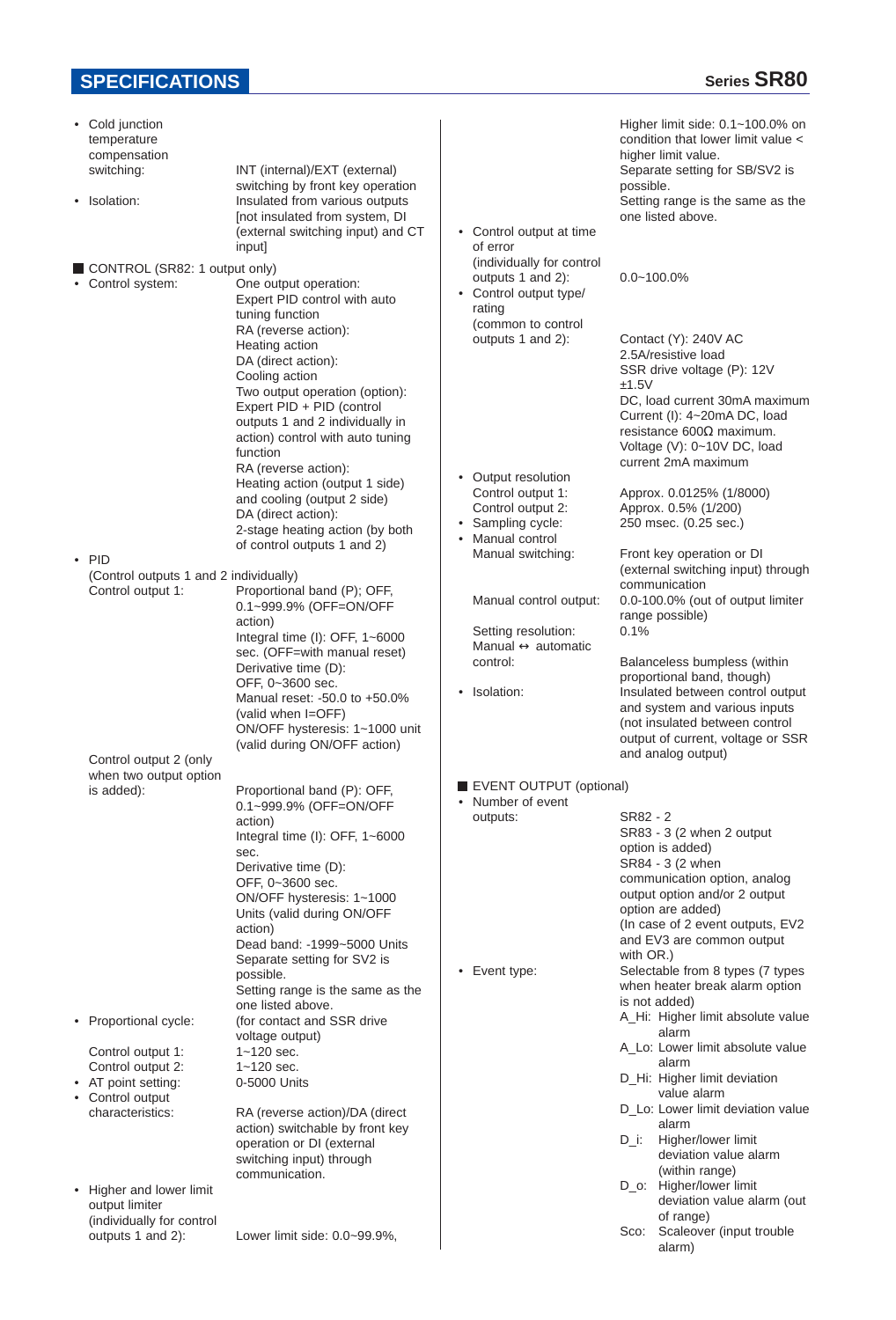# **SPECIFICATIONS SPECIFICATIONS**

| • Cold junction<br>temperature<br>compensation               |                                                                                                                                                                                                                                   |           |                                                                                    | Higher limit side: 0.1~100.0% on<br>condition that lower limit value <<br>higher limit value.                                                                                                                                                |
|--------------------------------------------------------------|-----------------------------------------------------------------------------------------------------------------------------------------------------------------------------------------------------------------------------------|-----------|------------------------------------------------------------------------------------|----------------------------------------------------------------------------------------------------------------------------------------------------------------------------------------------------------------------------------------------|
| switching:                                                   | INT (internal)/EXT (external)<br>switching by front key operation                                                                                                                                                                 |           |                                                                                    | Separate setting for SB/SV2 is<br>possible.                                                                                                                                                                                                  |
| • Isolation:                                                 | Insulated from various outputs<br>[not insulated from system, DI<br>(external switching input) and CT<br>input]                                                                                                                   |           | • Control output at time<br>of error                                               | Setting range is the same as the<br>one listed above.                                                                                                                                                                                        |
| CONTROL (SR82: 1 output only)<br>• Control system:           | One output operation:<br>Expert PID control with auto<br>tuning function                                                                                                                                                          |           | (individually for control<br>outputs 1 and 2):<br>• Control output type/<br>rating | $0.0 - 100.0\%$                                                                                                                                                                                                                              |
|                                                              | RA (reverse action):<br>Heating action<br>DA (direct action):<br>Cooling action<br>Two output operation (option):<br>Expert PID + PID (control<br>outputs 1 and 2 individually in<br>action) control with auto tuning<br>function |           | (common to control<br>outputs 1 and 2):                                            | Contact (Y): 240V AC<br>2.5A/resistive load<br>SSR drive voltage (P): 12V<br>±1.5V<br>DC, load current 30mA maximum<br>Current (I): 4~20mA DC, load<br>resistance $600\Omega$ maximum.<br>Voltage (V): 0~10V DC, load<br>current 2mA maximum |
|                                                              | RA (reverse action):<br>Heating action (output 1 side)<br>and cooling (output 2 side)<br>DA (direct action):                                                                                                                      |           | • Output resolution<br>Control output 1:<br>Control output 2:                      | Approx. 0.0125% (1/8000)<br>Approx. 0.5% (1/200)                                                                                                                                                                                             |
|                                                              | 2-stage heating action (by both<br>of control outputs 1 and 2)                                                                                                                                                                    | $\bullet$ | • Sampling cycle:<br>Manual control                                                | 250 msec. (0.25 sec.)                                                                                                                                                                                                                        |
| $\cdot$ PID<br>(Control outputs 1 and 2 individually)        |                                                                                                                                                                                                                                   |           | Manual switching:                                                                  | Front key operation or DI<br>(external switching input) through<br>communication                                                                                                                                                             |
| Control output 1:                                            | Proportional band (P); OFF,<br>0.1~999.9% (OFF=ON/OFF<br>action)                                                                                                                                                                  |           | Manual control output:                                                             | 0.0-100.0% (out of output limiter<br>range possible)                                                                                                                                                                                         |
|                                                              | Integral time (I): OFF, 1~6000<br>sec. (OFF=with manual reset)                                                                                                                                                                    |           | Setting resolution:<br>Manual $\leftrightarrow$ automatic                          | 0.1%                                                                                                                                                                                                                                         |
|                                                              | Derivative time (D):<br>OFF, 0~3600 sec.                                                                                                                                                                                          |           | control:                                                                           | Balanceless bumpless (within<br>proportional band, though)                                                                                                                                                                                   |
|                                                              | Manual reset: -50.0 to +50.0%<br>(valid when I=OFF)<br>ON/OFF hysteresis: 1~1000 unit                                                                                                                                             |           | • Isolation:                                                                       | Insulated between control output<br>and system and various inputs<br>(not insulated between control<br>output of current, voltage or SSR                                                                                                     |
| Control output 2 (only<br>when two output option             | (valid during ON/OFF action)                                                                                                                                                                                                      |           |                                                                                    | and analog output)                                                                                                                                                                                                                           |
| is added):                                                   | Proportional band (P): OFF,<br>0.1~999.9% (OFF=ON/OFF                                                                                                                                                                             |           | EVENT OUTPUT (optional)<br>• Number of event                                       |                                                                                                                                                                                                                                              |
|                                                              | action)                                                                                                                                                                                                                           |           | outputs:                                                                           | SR82 - 2                                                                                                                                                                                                                                     |
|                                                              | Integral time (I): OFF, 1~6000<br>sec.                                                                                                                                                                                            |           |                                                                                    | SR83 - 3 (2 when 2 output<br>option is added)<br>SR84 - 3 (2 when                                                                                                                                                                            |
|                                                              | Derivative time (D):<br>OFF, 0~3600 sec.<br>ON/OFF hysteresis: 1~1000                                                                                                                                                             |           |                                                                                    | communication option, analog<br>output option and/or 2 output                                                                                                                                                                                |
|                                                              | Units (valid during ON/OFF<br>action)                                                                                                                                                                                             |           |                                                                                    | option are added)<br>(In case of 2 event outputs, EV2                                                                                                                                                                                        |
|                                                              | Dead band: -1999~5000 Units<br>Separate setting for SV2 is                                                                                                                                                                        |           |                                                                                    | and EV3 are common output<br>with OR.)                                                                                                                                                                                                       |
|                                                              | possible.<br>Setting range is the same as the                                                                                                                                                                                     |           | • Event type:                                                                      | Selectable from 8 types (7 types<br>when heater break alarm option                                                                                                                                                                           |
| • Proportional cycle:                                        | one listed above.<br>(for contact and SSR drive                                                                                                                                                                                   |           |                                                                                    | is not added)<br>A_Hi: Higher limit absolute value<br>alarm                                                                                                                                                                                  |
| Control output 1:                                            | voltage output)<br>$1 - 120$ sec.                                                                                                                                                                                                 |           |                                                                                    | A_Lo: Lower limit absolute value<br>alarm                                                                                                                                                                                                    |
| Control output 2:<br>• AT point setting:<br>• Control output | $1 - 120$ sec.<br>0-5000 Units                                                                                                                                                                                                    |           |                                                                                    | D_Hi: Higher limit deviation<br>value alarm                                                                                                                                                                                                  |
| characteristics:                                             | RA (reverse action)/DA (direct<br>action) switchable by front key                                                                                                                                                                 |           |                                                                                    | D_Lo: Lower limit deviation value<br>alarm                                                                                                                                                                                                   |
|                                                              | operation or DI (external<br>switching input) through                                                                                                                                                                             |           |                                                                                    | Higher/lower limit<br>$D_i$ :<br>deviation value alarm                                                                                                                                                                                       |
| • Higher and lower limit                                     | communication.                                                                                                                                                                                                                    |           |                                                                                    | (within range)<br>D_o: Higher/lower limit                                                                                                                                                                                                    |
| output limiter<br>(individually for control                  |                                                                                                                                                                                                                                   |           |                                                                                    | deviation value alarm (out<br>of range)                                                                                                                                                                                                      |
| outputs 1 and 2):                                            | Lower limit side: 0.0~99.9%,                                                                                                                                                                                                      |           |                                                                                    | Scaleover (input trouble<br>Sco:<br>alarm)                                                                                                                                                                                                   |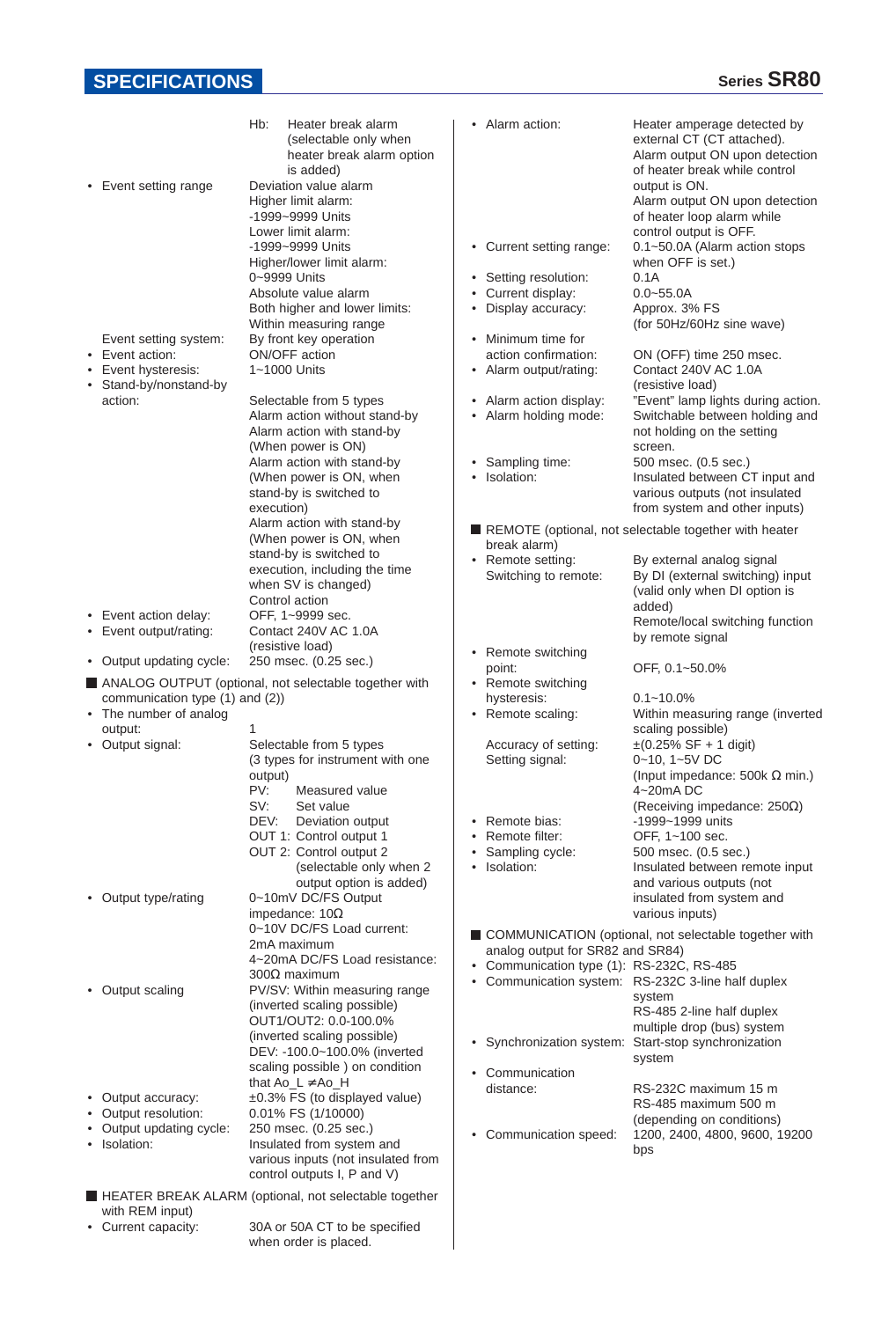# **SPECIFICATIONS**

| • Event setting range                                                | Hb:<br>Heater break alarm<br>(selectable only when<br>heater break alarm option<br>is added)<br>Deviation value alarm<br>Higher limit alarm:<br>-1999~9999 Units<br>Lower limit alarm:                  | Alarm action:<br>٠                                                                                                                                                          | Heater amperage detected by<br>external CT (CT attached).<br>Alarm output ON upon detection<br>of heater break while control<br>output is ON.<br>Alarm output ON upon detection<br>of heater loop alarm while<br>control output is OFF. |
|----------------------------------------------------------------------|---------------------------------------------------------------------------------------------------------------------------------------------------------------------------------------------------------|-----------------------------------------------------------------------------------------------------------------------------------------------------------------------------|-----------------------------------------------------------------------------------------------------------------------------------------------------------------------------------------------------------------------------------------|
| Event setting system:<br>Event action:                               | -1999~9999 Units<br>Higher/lower limit alarm:<br>0~9999 Units<br>Absolute value alarm<br>Both higher and lower limits:<br>Within measuring range<br>By front key operation<br>ON/OFF action             | Current setting range:<br>٠<br>Setting resolution:<br>$\bullet$<br>Current display:<br>٠<br>Display accuracy:<br>٠<br>Minimum time for<br>$\bullet$<br>action confirmation: | 0.1~50.0A (Alarm action stops<br>when OFF is set.)<br>0.1A<br>$0.0 - 55.0A$<br>Approx. 3% FS<br>(for 50Hz/60Hz sine wave)<br>ON (OFF) time 250 msec.                                                                                    |
| Event hysteresis:<br>Stand-by/nonstand-by<br>action:                 | 1~1000 Units<br>Selectable from 5 types<br>Alarm action without stand-by<br>Alarm action with stand-by<br>(When power is ON)<br>Alarm action with stand-by<br>(When power is ON, when                   | • Alarm output/rating:<br>Alarm action display:<br>٠<br>• Alarm holding mode:<br>Sampling time:<br>$\bullet$<br>Isolation:<br>$\bullet$                                     | Contact 240V AC 1.0A<br>(resistive load)<br>"Event" lamp lights during action.<br>Switchable between holding and<br>not holding on the setting<br>screen.<br>500 msec. (0.5 sec.)<br>Insulated between CT input and                     |
|                                                                      | stand-by is switched to<br>execution)<br>Alarm action with stand-by<br>(When power is ON, when<br>stand-by is switched to<br>execution, including the time                                              | break alarm)<br>• Remote setting:<br>Switching to remote:                                                                                                                   | various outputs (not insulated<br>from system and other inputs)<br>REMOTE (optional, not selectable together with heater<br>By external analog signal<br>By DI (external switching) input                                               |
| • Event action delay:<br>• Event output/rating:                      | when SV is changed)<br>Control action<br>OFF, 1~9999 sec.<br>Contact 240V AC 1.0A<br>(resistive load)                                                                                                   |                                                                                                                                                                             | (valid only when DI option is<br>added)<br>Remote/local switching function<br>by remote signal                                                                                                                                          |
| • Output updating cycle:                                             | 250 msec. (0.25 sec.)                                                                                                                                                                                   | • Remote switching<br>point:                                                                                                                                                | OFF, 0.1~50.0%                                                                                                                                                                                                                          |
|                                                                      | ANALOG OUTPUT (optional, not selectable together with                                                                                                                                                   | • Remote switching                                                                                                                                                          |                                                                                                                                                                                                                                         |
| communication type (1) and (2))<br>• The number of analog<br>output: | 1                                                                                                                                                                                                       | hysteresis:<br>• Remote scaling:                                                                                                                                            | $0.1 - 10.0\%$<br>Within measuring range (inverted<br>scaling possible)                                                                                                                                                                 |
| • Output signal:                                                     | Selectable from 5 types<br>(3 types for instrument with one<br>output)<br>PV:<br>Measured value<br>SV:<br>Set value                                                                                     | Accuracy of setting:<br>Setting signal:                                                                                                                                     | $\pm (0.25\% \text{ SF} + 1 \text{ digit})$<br>$0 - 10$ , $1 - 5V$ DC<br>(Input impedance: 500k $\Omega$ min.)<br>4~20mA DC<br>(Receiving impedance: $250\Omega$ )                                                                      |
|                                                                      | DEV:<br>Deviation output<br>OUT 1: Control output 1<br>OUT 2: Control output 2<br>(selectable only when 2<br>output option is added)                                                                    | Remote bias:<br>$\bullet$<br>Remote filter:<br>٠<br>Sampling cycle:<br>$\bullet$<br>Isolation:<br>٠                                                                         | -1999~1999 units<br>OFF, 1~100 sec.<br>500 msec. (0.5 sec.)<br>Insulated between remote input<br>and various outputs (not                                                                                                               |
| • Output type/rating                                                 | 0~10mV DC/FS Output<br>impedance: $10\Omega$<br>0~10V DC/FS Load current:<br>2mA maximum                                                                                                                |                                                                                                                                                                             | insulated from system and<br>various inputs)<br>COMMUNICATION (optional, not selectable together with                                                                                                                                   |
| • Output scaling                                                     | 4~20mA DC/FS Load resistance:<br>$300\Omega$ maximum<br>PV/SV: Within measuring range<br>(inverted scaling possible)<br>OUT1/OUT2: 0.0-100.0%                                                           | analog output for SR82 and SR84)<br>• Communication type (1): RS-232C, RS-485<br>٠                                                                                          | Communication system: RS-232C 3-line half duplex<br>system<br>RS-485 2-line half duplex<br>multiple drop (bus) system                                                                                                                   |
| Output accuracy:<br>Output resolution:<br>Output updating cycle:     | (inverted scaling possible)<br>DEV: -100.0~100.0% (inverted<br>scaling possible ) on condition<br>that $Ao_L \neq Ao_H$<br>±0.3% FS (to displayed value)<br>0.01% FS (1/10000)<br>250 msec. (0.25 sec.) | ٠<br>Communication<br>٠<br>distance:                                                                                                                                        | Synchronization system: Start-stop synchronization<br>system<br>RS-232C maximum 15 m<br>RS-485 maximum 500 m<br>(depending on conditions)                                                                                               |
| Isolation:                                                           | Insulated from system and<br>various inputs (not insulated from<br>control outputs I, P and V)                                                                                                          | Communication speed:<br>٠                                                                                                                                                   | 1200, 2400, 4800, 9600, 19200<br>bps                                                                                                                                                                                                    |
|                                                                      | HEATER BREAK ALARM (optional, not selectable together                                                                                                                                                   |                                                                                                                                                                             |                                                                                                                                                                                                                                         |
| with REM input)<br>• Current capacity:                               | 30A or 50A CT to be specified                                                                                                                                                                           |                                                                                                                                                                             |                                                                                                                                                                                                                                         |

30A or 50A CT to be specified when order is placed.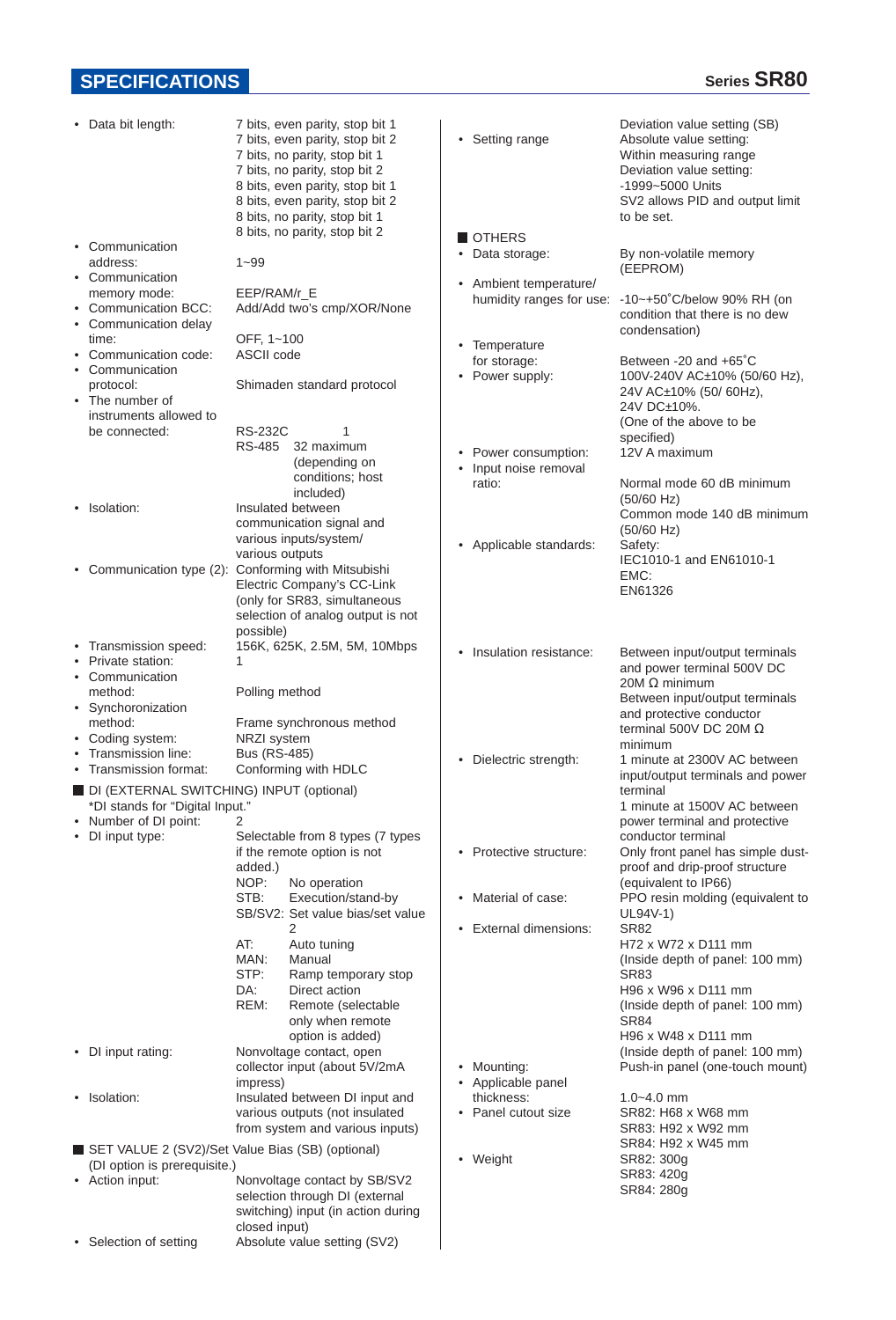# **SPECIFICATIONS SPECIFICATIONS**

| ٠ | Data bit length:                                                                                                                                                         | 7 bits, even parity, stop bit 1<br>7 bits, even parity, stop bit 2<br>7 bits, no parity, stop bit 1<br>7 bits, no parity, stop bit 2<br>8 bits, even parity, stop bit 1<br>8 bits, even parity, stop bit 2<br>8 bits, no parity, stop bit 1                                                                | • Setting range                                                                                                  | Deviation value setting (SB)<br>Absolute value setting:<br>Within measuring range<br>Deviation value setting:<br>-1999~5000 Units<br>SV2 allows PID and output limit<br>to be set.                                                                                                                                           |
|---|--------------------------------------------------------------------------------------------------------------------------------------------------------------------------|------------------------------------------------------------------------------------------------------------------------------------------------------------------------------------------------------------------------------------------------------------------------------------------------------------|------------------------------------------------------------------------------------------------------------------|------------------------------------------------------------------------------------------------------------------------------------------------------------------------------------------------------------------------------------------------------------------------------------------------------------------------------|
|   | • Communication<br>address:<br>• Communication<br>memory mode:<br>• Communication BCC:<br>• Communication delay<br>time:<br>Communication code:                          | 8 bits, no parity, stop bit 2<br>$1 - 99$<br>EEP/RAM/r E<br>Add/Add two's cmp/XOR/None<br>OFF, 1~100<br>ASCII code                                                                                                                                                                                         | OTHERS<br>• Data storage:<br>• Ambient temperature/<br>humidity ranges for use:<br>• Temperature<br>for storage: | By non-volatile memory<br>(EEPROM)<br>$-10$ ~+50°C/below 90% RH (on<br>condition that there is no dew<br>condensation)<br>Between -20 and +65°C                                                                                                                                                                              |
|   | • Communication<br>protocol:<br>• The number of<br>instruments allowed to<br>be connected:                                                                               | Shimaden standard protocol<br><b>RS-232C</b><br>1<br>32 maximum<br>RS-485<br>(depending on<br>conditions; host<br>included)                                                                                                                                                                                | • Power supply:<br>• Power consumption:<br>Input noise removal<br>ratio:                                         | 100V-240V AC±10% (50/60 Hz),<br>24V AC±10% (50/60Hz),<br>24V DC±10%.<br>(One of the above to be<br>specified)<br>12V A maximum<br>Normal mode 60 dB minimum                                                                                                                                                                  |
|   | • Isolation:                                                                                                                                                             | Insulated between<br>communication signal and<br>various inputs/system/<br>various outputs                                                                                                                                                                                                                 | Applicable standards:<br>٠                                                                                       | $(50/60$ Hz)<br>Common mode 140 dB minimum<br>$(50/60$ Hz)<br>Safety:<br>IEC1010-1 and EN61010-1                                                                                                                                                                                                                             |
|   |                                                                                                                                                                          | • Communication type (2): Conforming with Mitsubishi<br>Electric Company's CC-Link<br>(only for SR83, simultaneous<br>selection of analog output is not<br>possible)                                                                                                                                       |                                                                                                                  | EMC:<br>EN61326                                                                                                                                                                                                                                                                                                              |
|   | • Transmission speed:<br>• Private station:<br>• Communication<br>method:<br>• Synchoronization<br>method:<br>• Coding system:                                           | 156K, 625K, 2.5M, 5M, 10Mbps<br>Polling method<br>Frame synchronous method<br>NRZI system                                                                                                                                                                                                                  | Insulation resistance:<br>$\bullet$                                                                              | Between input/output terminals<br>and power terminal 500V DC<br>20M Ω minimum<br>Between input/output terminals<br>and protective conductor<br>terminal 500V DC 20M $\Omega$<br>minimum                                                                                                                                      |
|   | Transmission line:<br>• Transmission format:<br>DI (EXTERNAL SWITCHING) INPUT (optional)<br>*DI stands for "Digital Input."<br>• Number of DI point:<br>• DI input type: | <b>Bus (RS-485)</b><br>Conforming with HDLC<br>Selectable from 8 types (7 types                                                                                                                                                                                                                            | Dielectric strength:<br>$\bullet$                                                                                | 1 minute at 2300V AC between<br>input/output terminals and power<br>terminal<br>1 minute at 1500V AC between<br>power terminal and protective<br>conductor terminal                                                                                                                                                          |
|   |                                                                                                                                                                          | if the remote option is not<br>added.)<br>NOP:<br>No operation<br>STB:<br>Execution/stand-by<br>SB/SV2: Set value bias/set value<br>2<br>AT:<br>Auto tuning<br>MAN:<br>Manual<br>STP:<br>Ramp temporary stop<br>DA:<br>Direct action<br>REM:<br>Remote (selectable<br>only when remote<br>option is added) | • Protective structure:<br>• Material of case:<br>• External dimensions:                                         | Only front panel has simple dust-<br>proof and drip-proof structure<br>(equivalent to IP66)<br>PPO resin molding (equivalent to<br>UL94V-1)<br><b>SR82</b><br>H72 x W72 x D111 mm<br>(Inside depth of panel: 100 mm)<br><b>SR83</b><br>H96 x W96 x D111 mm<br>(Inside depth of panel: 100 mm)<br>SR84<br>H96 x W48 x D111 mm |
|   | • DI input rating:                                                                                                                                                       | Nonvoltage contact, open<br>collector input (about 5V/2mA<br>impress)                                                                                                                                                                                                                                      | Mounting:<br>• Applicable panel                                                                                  | (Inside depth of panel: 100 mm)<br>Push-in panel (one-touch mount)                                                                                                                                                                                                                                                           |
|   | • Isolation:                                                                                                                                                             | Insulated between DI input and<br>various outputs (not insulated<br>from system and various inputs)                                                                                                                                                                                                        | thickness:<br>• Panel cutout size                                                                                | $1.0 - 4.0$ mm<br>SR82: H68 x W68 mm<br>SR83: H92 x W92 mm                                                                                                                                                                                                                                                                   |
|   | SET VALUE 2 (SV2)/Set Value Bias (SB) (optional)<br>(DI option is prerequisite.)<br>• Action input:                                                                      | Nonvoltage contact by SB/SV2<br>selection through DI (external<br>switching) input (in action during<br>closed input)                                                                                                                                                                                      | • Weight                                                                                                         | SR84: H92 x W45 mm<br>SR82: 300g<br>SR83: 420g<br>SR84: 280g                                                                                                                                                                                                                                                                 |
|   | • Selection of setting                                                                                                                                                   | Absolute value setting (SV2)                                                                                                                                                                                                                                                                               |                                                                                                                  |                                                                                                                                                                                                                                                                                                                              |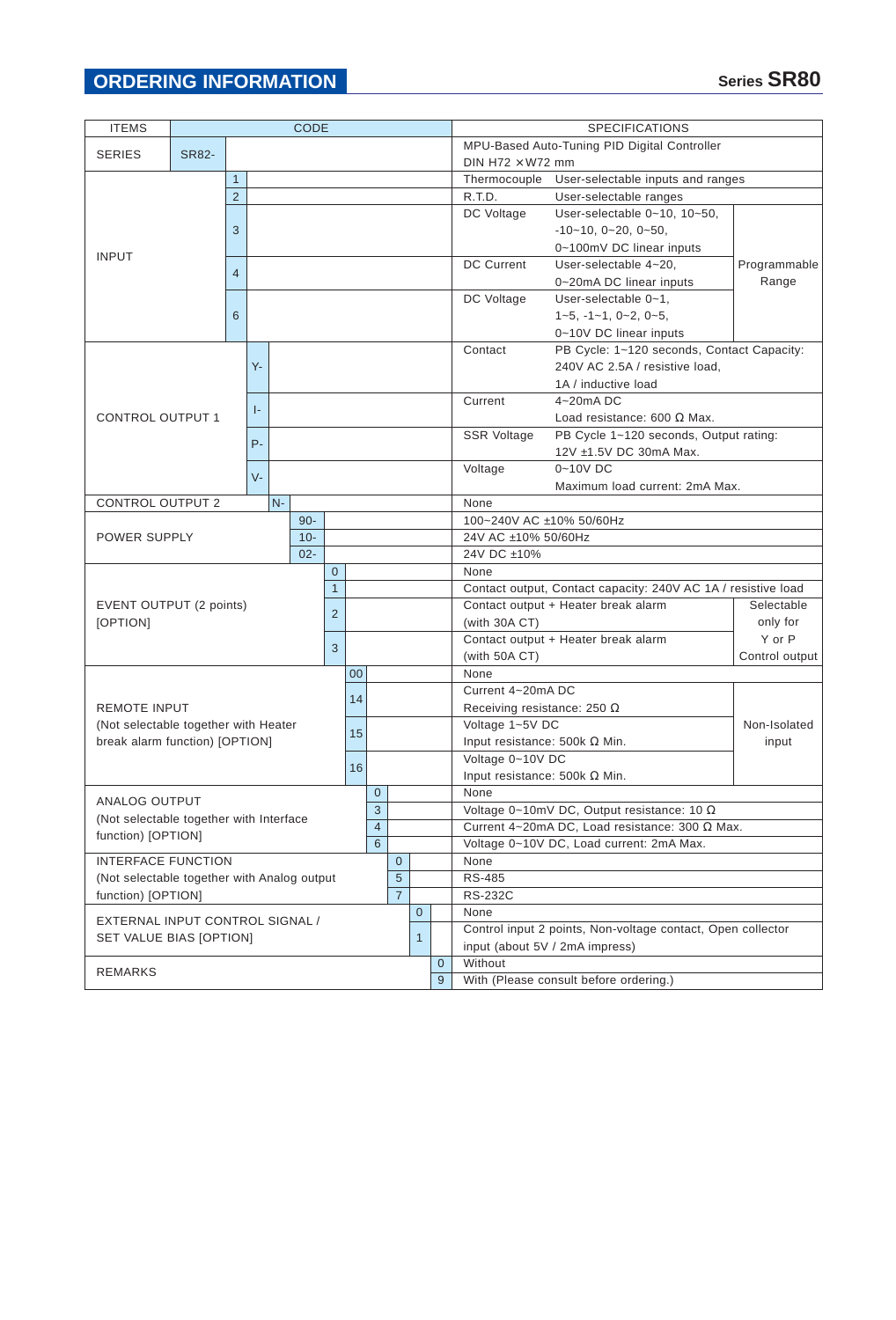# **ORDERING INFORMATION**

| <b>ITEMS</b>                                                  | <b>CODE</b>   |                |              |                |                |                |               |                |                                                |              |                                                   | <b>SPECIFICATIONS</b>                                                          |                                                             |              |         |               |  |
|---------------------------------------------------------------|---------------|----------------|--------------|----------------|----------------|----------------|---------------|----------------|------------------------------------------------|--------------|---------------------------------------------------|--------------------------------------------------------------------------------|-------------------------------------------------------------|--------------|---------|---------------|--|
| <b>SERIES</b><br><b>SR82-</b>                                 |               |                |              |                |                |                |               |                | MPU-Based Auto-Tuning PID Digital Controller   |              |                                                   |                                                                                |                                                             |              |         |               |  |
|                                                               |               |                |              |                |                |                |               |                |                                                |              | DIN H72 $\times$ W72 mm                           |                                                                                |                                                             |              |         |               |  |
|                                                               |               |                | $\mathbf{1}$ |                |                |                |               |                |                                                |              |                                                   | Thermocouple                                                                   | User-selectable inputs and ranges                           |              |         |               |  |
|                                                               |               | 2              |              |                |                |                |               |                |                                                |              |                                                   | R.T.D.                                                                         | User-selectable ranges                                      |              |         |               |  |
|                                                               |               |                |              |                |                |                |               |                |                                                |              |                                                   | DC Voltage                                                                     | User-selectable 0~10, 10~50,                                |              |         |               |  |
|                                                               |               | 3              |              |                |                |                |               |                |                                                |              |                                                   |                                                                                | $-10-10$ , $0-20$ , $0-50$ ,                                |              |         |               |  |
|                                                               |               |                |              |                |                |                |               |                |                                                |              |                                                   |                                                                                | 0~100mV DC linear inputs                                    |              |         |               |  |
| <b>INPUT</b>                                                  |               |                |              |                |                |                |               |                |                                                |              |                                                   | <b>DC Current</b>                                                              | User-selectable 4~20,                                       | Programmable |         |               |  |
|                                                               |               | $\overline{4}$ |              |                |                |                |               |                |                                                |              |                                                   |                                                                                | 0~20mA DC linear inputs                                     | Range        |         |               |  |
|                                                               |               |                |              |                |                |                |               |                |                                                |              |                                                   | DC Voltage                                                                     | User-selectable 0~1,                                        |              |         |               |  |
|                                                               |               | 6              |              |                |                |                |               |                |                                                |              |                                                   |                                                                                | $1-5, -1-1, 0-2, 0-5,$                                      |              |         |               |  |
|                                                               |               |                |              |                |                |                |               |                |                                                |              |                                                   |                                                                                | 0~10V DC linear inputs                                      |              |         |               |  |
|                                                               |               |                |              |                |                |                |               |                |                                                |              |                                                   | Contact                                                                        | PB Cycle: 1~120 seconds, Contact Capacity:                  |              |         |               |  |
|                                                               |               |                | Υ-           |                |                |                |               |                |                                                |              |                                                   |                                                                                | 240V AC 2.5A / resistive load,                              |              |         |               |  |
|                                                               |               |                |              |                |                |                |               |                |                                                |              |                                                   |                                                                                | 1A / inductive load                                         |              |         |               |  |
|                                                               |               |                |              |                |                |                |               |                |                                                |              |                                                   |                                                                                |                                                             |              | Current | $4 - 20$ mADC |  |
| <b>CONTROL OUTPUT 1</b>                                       |               |                | ŀ.           |                |                |                |               |                |                                                |              |                                                   |                                                                                |                                                             |              |         |               |  |
|                                                               |               |                |              |                |                |                |               |                |                                                |              |                                                   | <b>SSR Voltage</b>                                                             | PB Cycle 1~120 seconds, Output rating:                      |              |         |               |  |
|                                                               |               |                | $P -$        |                |                |                |               |                |                                                |              |                                                   |                                                                                | 12V ±1.5V DC 30mA Max.                                      |              |         |               |  |
|                                                               |               |                |              |                |                |                |               |                |                                                |              |                                                   | Voltage                                                                        | 0~10V DC                                                    |              |         |               |  |
|                                                               |               |                | $V -$        |                |                |                |               |                |                                                |              |                                                   |                                                                                | Maximum load current: 2mA Max.                              |              |         |               |  |
| <b>CONTROL OUTPUT 2</b>                                       |               |                |              | $N -$          |                |                |               |                |                                                |              |                                                   | None                                                                           |                                                             |              |         |               |  |
|                                                               |               |                |              |                | $90 -$         |                |               |                |                                                |              |                                                   |                                                                                | 100~240V AC ±10% 50/60Hz                                    |              |         |               |  |
| POWER SUPPLY                                                  |               |                |              |                | $10 -$         |                |               |                |                                                |              | 24V AC ±10% 50/60Hz                               |                                                                                |                                                             |              |         |               |  |
|                                                               |               |                |              | $02 -$         |                |                |               |                |                                                |              |                                                   | 24V DC ±10%                                                                    |                                                             |              |         |               |  |
|                                                               |               |                |              |                |                | $\overline{0}$ |               |                |                                                |              |                                                   | None                                                                           |                                                             |              |         |               |  |
|                                                               |               | $\mathbf{1}$   |              |                |                |                |               |                |                                                |              |                                                   | Contact output, Contact capacity: 240V AC 1A / resistive load                  |                                                             |              |         |               |  |
| EVENT OUTPUT (2 points)                                       |               | 2              |              |                |                |                |               |                |                                                |              |                                                   | Contact output + Heater break alarm<br>Selectable<br>only for<br>(with 30A CT) |                                                             |              |         |               |  |
| [OPTION]                                                      |               |                |              |                |                |                |               |                |                                                |              |                                                   |                                                                                |                                                             |              |         |               |  |
|                                                               |               |                |              |                |                |                |               |                |                                                |              | Contact output + Heater break alarm               | Y or P                                                                         |                                                             |              |         |               |  |
|                                                               |               |                | 3            |                |                |                |               |                |                                                |              |                                                   | (with 50A CT)<br>Control output                                                |                                                             |              |         |               |  |
|                                                               |               |                |              |                |                |                | 00            |                |                                                |              |                                                   | None                                                                           |                                                             |              |         |               |  |
|                                                               |               |                |              |                |                |                | 14            |                |                                                |              |                                                   | Current 4~20mA DC                                                              |                                                             |              |         |               |  |
| <b>REMOTE INPUT</b>                                           |               |                |              |                |                |                |               |                |                                                |              |                                                   | Receiving resistance: 250 $\Omega$                                             |                                                             |              |         |               |  |
| (Not selectable together with Heater                          |               |                |              |                |                |                | 15            |                |                                                |              |                                                   | Voltage 1~5V DC                                                                |                                                             | Non-Isolated |         |               |  |
| break alarm function) [OPTION]                                |               |                |              |                |                |                |               |                |                                                |              |                                                   | Input resistance: 500k $\Omega$ Min.<br>input                                  |                                                             |              |         |               |  |
|                                                               |               |                |              |                |                |                | 16            |                |                                                |              |                                                   | Voltage 0~10V DC                                                               |                                                             |              |         |               |  |
|                                                               |               |                |              |                |                |                |               |                |                                                |              |                                                   |                                                                                | Input resistance: 500k $\Omega$ Min.                        |              |         |               |  |
|                                                               |               |                |              |                |                |                |               | $\mathsf{O}^-$ |                                                |              |                                                   | None                                                                           |                                                             |              |         |               |  |
|                                                               | ANALOG OUTPUT |                |              |                |                | 3              |               |                |                                                |              | Voltage 0~10mV DC, Output resistance: 10 $\Omega$ |                                                                                |                                                             |              |         |               |  |
| (Not selectable together with Interface<br>function) [OPTION] |               |                |              | $\overline{4}$ |                |                |               |                | Current 4~20mA DC, Load resistance: 300 Ω Max. |              |                                                   |                                                                                |                                                             |              |         |               |  |
|                                                               |               |                |              | 6              |                |                |               |                | Voltage 0~10V DC, Load current: 2mA Max.       |              |                                                   |                                                                                |                                                             |              |         |               |  |
| <b>INTERFACE FUNCTION</b>                                     |               |                |              | $\mathbf 0$    |                |                | None          |                |                                                |              |                                                   |                                                                                |                                                             |              |         |               |  |
| (Not selectable together with Analog output                   |               |                |              | 5              |                |                | <b>RS-485</b> |                |                                                |              |                                                   |                                                                                |                                                             |              |         |               |  |
| function) [OPTION]                                            |               |                |              |                | $\overline{7}$ |                |               | <b>RS-232C</b> |                                                |              |                                                   |                                                                                |                                                             |              |         |               |  |
| EXTERNAL INPUT CONTROL SIGNAL /                               |               |                |              |                |                |                |               |                |                                                | $\mathbf{0}$ |                                                   | None                                                                           |                                                             |              |         |               |  |
|                                                               |               |                |              |                |                |                |               |                |                                                | $\mathbf{1}$ |                                                   |                                                                                | Control input 2 points, Non-voltage contact, Open collector |              |         |               |  |
| SET VALUE BIAS [OPTION]                                       |               |                |              |                |                |                |               |                |                                                |              |                                                   |                                                                                | input (about 5V / 2mA impress)                              |              |         |               |  |
|                                                               |               |                |              |                |                |                |               |                |                                                |              | $\mathbf{0}$                                      | Without                                                                        |                                                             |              |         |               |  |
| REMARKS                                                       |               |                |              |                |                |                |               |                |                                                | 9            | With (Please consult before ordering.)            |                                                                                |                                                             |              |         |               |  |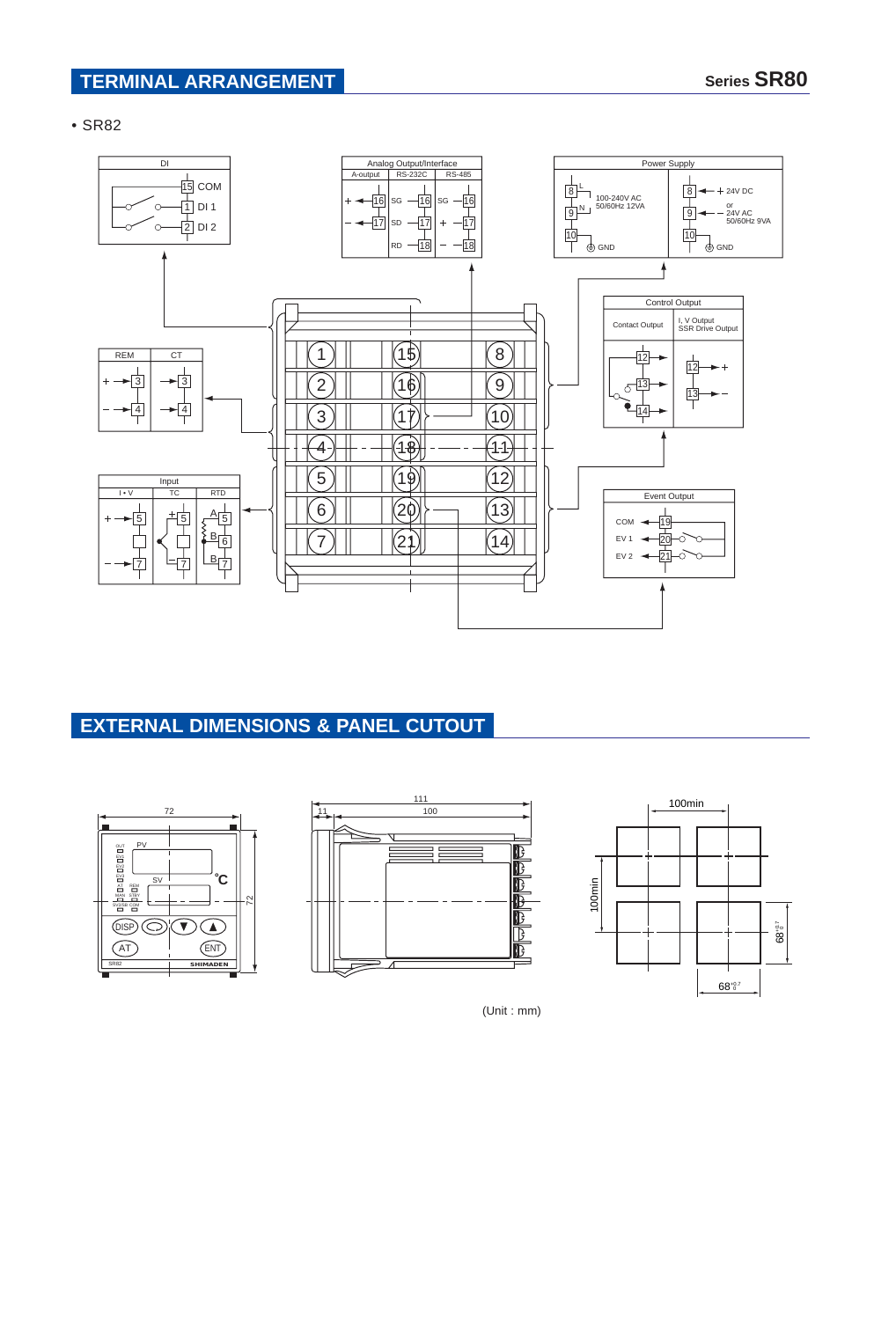### **TERMINAL ARRANGEMENT Series SR80**

#### • SR82



# **EXTERNAL DIMENSIONS & PANEL CUTOUT**







(Unit : mm)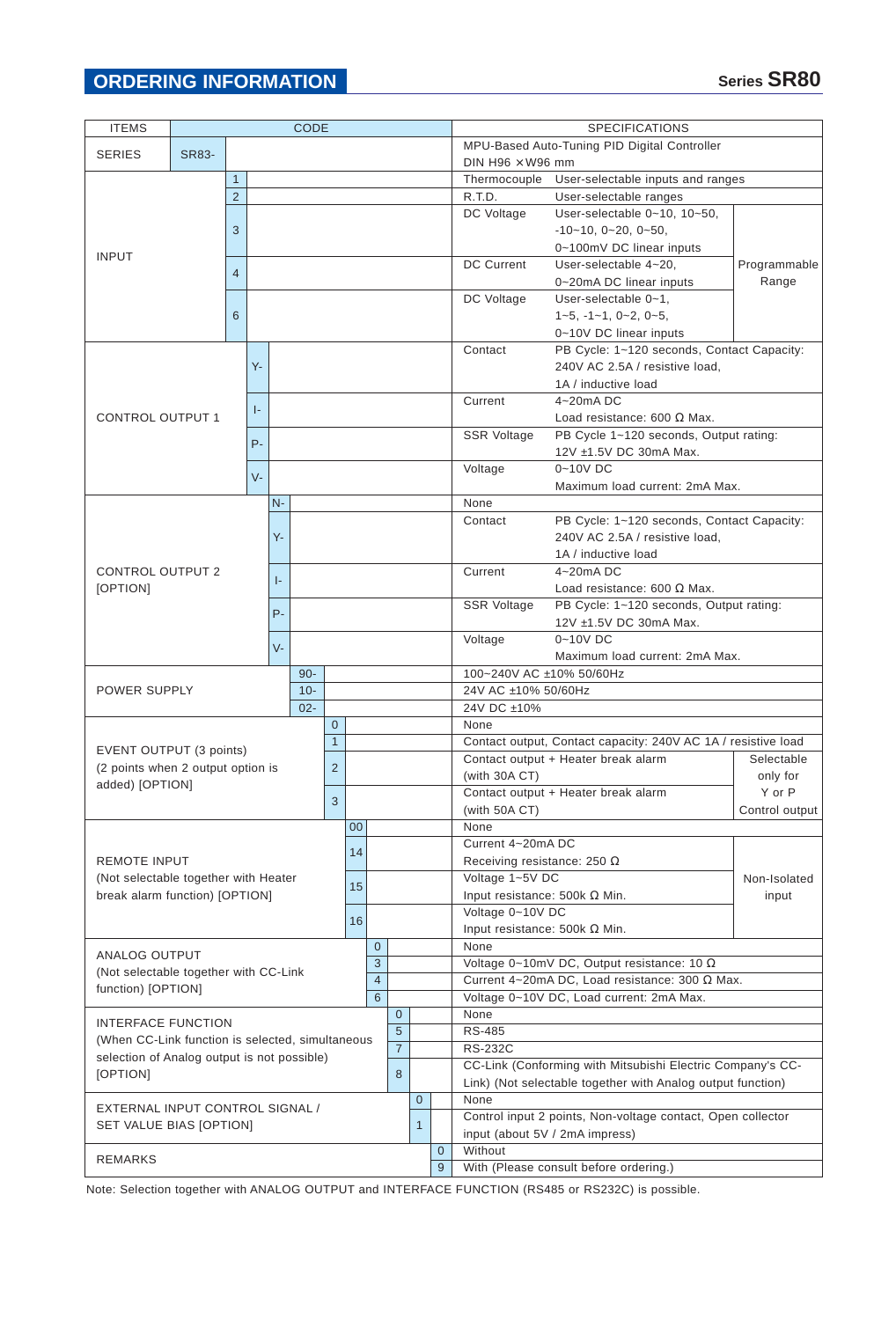| <b>ITEMS</b>                                           | <b>CODE</b> |                                                     |                |        |              |                |                                                             |                                                            |                | <b>SPECIFICATIONS</b>                                         |                                                   |                                                             |              |  |  |  |
|--------------------------------------------------------|-------------|-----------------------------------------------------|----------------|--------|--------------|----------------|-------------------------------------------------------------|------------------------------------------------------------|----------------|---------------------------------------------------------------|---------------------------------------------------|-------------------------------------------------------------|--------------|--|--|--|
|                                                        |             |                                                     |                |        |              |                |                                                             | MPU-Based Auto-Tuning PID Digital Controller               |                |                                                               |                                                   |                                                             |              |  |  |  |
| <b>SERIES</b><br>SR83-                                 |             |                                                     |                |        |              |                | DIN H96 $\times$ W96 mm                                     |                                                            |                |                                                               |                                                   |                                                             |              |  |  |  |
| $\mathbf{1}$                                           |             |                                                     |                |        |              |                |                                                             |                                                            |                |                                                               | Thermocouple                                      | User-selectable inputs and ranges                           |              |  |  |  |
|                                                        | 2           |                                                     |                |        |              |                |                                                             |                                                            |                | R.T.D.                                                        | User-selectable ranges                            |                                                             |              |  |  |  |
|                                                        |             |                                                     |                |        |              |                |                                                             |                                                            |                |                                                               | DC Voltage                                        | User-selectable 0~10, 10~50,                                |              |  |  |  |
|                                                        |             | 3                                                   |                |        |              |                |                                                             |                                                            |                |                                                               |                                                   | $-10-10$ , $0-20$ , $0-50$ ,                                |              |  |  |  |
|                                                        |             |                                                     |                |        |              |                |                                                             |                                                            |                |                                                               |                                                   | 0~100mV DC linear inputs                                    |              |  |  |  |
| <b>INPUT</b>                                           |             |                                                     |                |        |              |                |                                                             |                                                            |                |                                                               | <b>DC Current</b>                                 | User-selectable 4~20,                                       | Programmable |  |  |  |
|                                                        |             | $\overline{4}$                                      |                |        |              |                |                                                             |                                                            |                |                                                               |                                                   | 0~20mA DC linear inputs                                     | Range        |  |  |  |
|                                                        |             |                                                     |                |        |              |                |                                                             |                                                            |                |                                                               | DC Voltage                                        | User-selectable 0~1,                                        |              |  |  |  |
|                                                        |             | 6                                                   |                |        |              |                |                                                             |                                                            |                |                                                               |                                                   | $1-5, -1-1, 0-2, 0-5,$                                      |              |  |  |  |
|                                                        |             |                                                     |                |        |              |                |                                                             |                                                            |                |                                                               |                                                   | 0~10V DC linear inputs                                      |              |  |  |  |
|                                                        |             |                                                     |                |        |              |                |                                                             |                                                            |                |                                                               | Contact                                           | PB Cycle: 1~120 seconds, Contact Capacity:                  |              |  |  |  |
|                                                        |             |                                                     | $Y -$          |        |              |                |                                                             |                                                            |                |                                                               |                                                   | 240V AC 2.5A / resistive load,                              |              |  |  |  |
|                                                        |             |                                                     |                |        |              |                |                                                             |                                                            |                |                                                               |                                                   | 1A / inductive load                                         |              |  |  |  |
|                                                        |             |                                                     |                |        |              |                |                                                             |                                                            |                |                                                               | Current                                           | $4 - 20$ mADC                                               |              |  |  |  |
| <b>CONTROL OUTPUT 1</b>                                |             |                                                     | ŀ.             |        |              |                |                                                             |                                                            |                |                                                               |                                                   | Load resistance: 600 $\Omega$ Max.                          |              |  |  |  |
|                                                        |             |                                                     |                |        |              |                |                                                             |                                                            |                |                                                               | <b>SSR Voltage</b>                                | PB Cycle 1~120 seconds, Output rating:                      |              |  |  |  |
|                                                        |             |                                                     | $P -$          |        |              |                |                                                             |                                                            |                |                                                               |                                                   | 12V ±1.5V DC 30mA Max.                                      |              |  |  |  |
|                                                        |             |                                                     |                |        |              |                |                                                             |                                                            |                |                                                               |                                                   |                                                             |              |  |  |  |
|                                                        |             |                                                     | $V -$          |        |              |                |                                                             |                                                            |                |                                                               | $0 - 10V$ DC<br>Voltage                           |                                                             |              |  |  |  |
|                                                        |             |                                                     |                |        |              |                |                                                             |                                                            |                |                                                               |                                                   | Maximum load current: 2mA Max.                              |              |  |  |  |
|                                                        |             |                                                     | $N -$          |        |              |                |                                                             |                                                            |                |                                                               | None                                              |                                                             |              |  |  |  |
|                                                        |             |                                                     |                |        |              |                |                                                             |                                                            |                |                                                               | Contact                                           | PB Cycle: 1~120 seconds, Contact Capacity:                  |              |  |  |  |
|                                                        |             | Υ-                                                  |                |        |              |                |                                                             |                                                            |                |                                                               | 240V AC 2.5A / resistive load,                    |                                                             |              |  |  |  |
|                                                        |             |                                                     |                |        |              |                |                                                             |                                                            |                |                                                               |                                                   | 1A / inductive load                                         |              |  |  |  |
| <b>CONTROL OUTPUT 2</b>                                |             |                                                     | $\vert$ -      |        |              |                |                                                             |                                                            |                |                                                               | Current                                           | $4 - 20$ mADC                                               |              |  |  |  |
| [OPTION]                                               |             |                                                     |                |        |              |                |                                                             |                                                            |                |                                                               |                                                   | Load resistance: 600 $\Omega$ Max.                          |              |  |  |  |
|                                                        |             | $P -$                                               |                |        |              |                |                                                             |                                                            |                |                                                               | <b>SSR Voltage</b>                                | PB Cycle: 1~120 seconds, Output rating:                     |              |  |  |  |
|                                                        |             |                                                     |                |        |              |                |                                                             |                                                            |                |                                                               |                                                   | 12V ±1.5V DC 30mA Max.                                      |              |  |  |  |
|                                                        |             |                                                     | $V -$          |        |              |                |                                                             |                                                            |                |                                                               | Voltage                                           | 0~10V DC                                                    |              |  |  |  |
|                                                        |             |                                                     |                |        |              |                |                                                             |                                                            |                |                                                               | Maximum load current: 2mA Max.                    |                                                             |              |  |  |  |
|                                                        |             |                                                     |                | $90 -$ |              |                |                                                             |                                                            |                | 100~240V AC ±10% 50/60Hz                                      |                                                   |                                                             |              |  |  |  |
| <b>POWER SUPPLY</b>                                    |             |                                                     |                | $10 -$ |              |                |                                                             |                                                            |                | 24V AC ±10% 50/60Hz                                           |                                                   |                                                             |              |  |  |  |
|                                                        |             |                                                     |                | $02 -$ |              |                |                                                             |                                                            |                |                                                               | 24V DC ±10%                                       |                                                             |              |  |  |  |
|                                                        |             |                                                     | $\overline{0}$ |        |              |                |                                                             |                                                            |                |                                                               | None                                              |                                                             |              |  |  |  |
| EVENT OUTPUT (3 points)                                |             |                                                     |                |        | $\mathbf{1}$ |                |                                                             |                                                            |                | Contact output, Contact capacity: 240V AC 1A / resistive load |                                                   |                                                             |              |  |  |  |
|                                                        |             | (2 points when 2 output option is<br>$\overline{2}$ |                |        |              |                |                                                             |                                                            |                |                                                               |                                                   | Contact output + Heater break alarm<br>Selectable           |              |  |  |  |
| added) [OPTION]                                        |             |                                                     |                |        |              |                |                                                             |                                                            |                |                                                               | (with $30A$ CT)<br>only for                       |                                                             |              |  |  |  |
|                                                        |             | 3                                                   |                |        |              |                |                                                             |                                                            |                |                                                               |                                                   | $Y$ or $P$<br>Contact output + Heater break alarm           |              |  |  |  |
|                                                        |             |                                                     |                |        |              |                |                                                             |                                                            |                | (with 50A CT)<br>Control output                               |                                                   |                                                             |              |  |  |  |
|                                                        |             |                                                     |                | $00\,$ |              |                |                                                             | None                                                       |                |                                                               |                                                   |                                                             |              |  |  |  |
|                                                        |             |                                                     |                |        | 14           |                |                                                             |                                                            |                |                                                               | Current 4~20mA DC                                 |                                                             |              |  |  |  |
| <b>REMOTE INPUT</b>                                    |             |                                                     |                |        |              |                |                                                             |                                                            |                |                                                               | Receiving resistance: 250 $\Omega$                |                                                             |              |  |  |  |
| (Not selectable together with Heater                   |             |                                                     |                |        |              |                |                                                             |                                                            |                |                                                               | Voltage 1~5V DC<br>Non-Isolated                   |                                                             |              |  |  |  |
| break alarm function) [OPTION]                         |             |                                                     |                |        |              | 15             |                                                             |                                                            |                |                                                               | Input resistance: 500k $\Omega$ Min.              |                                                             | input        |  |  |  |
|                                                        |             |                                                     |                |        |              | 16             |                                                             |                                                            |                |                                                               | Voltage 0~10V DC                                  |                                                             |              |  |  |  |
|                                                        |             |                                                     |                |        |              |                |                                                             |                                                            |                |                                                               | Input resistance: 500k $\Omega$ Min.              |                                                             |              |  |  |  |
|                                                        |             |                                                     |                |        |              |                | $\mathbf{0}$                                                |                                                            |                |                                                               | None                                              |                                                             |              |  |  |  |
| ANALOG OUTPUT<br>(Not selectable together with CC-Link |             |                                                     |                |        |              | 3              |                                                             |                                                            |                |                                                               | Voltage 0~10mV DC, Output resistance: 10 $\Omega$ |                                                             |              |  |  |  |
|                                                        |             |                                                     | $\overline{4}$ |        |              |                |                                                             |                                                            |                |                                                               |                                                   | Current 4~20mA DC, Load resistance: 300 Ω Max.              |              |  |  |  |
| function) [OPTION]                                     |             |                                                     |                |        |              |                | 6                                                           |                                                            |                |                                                               |                                                   | Voltage 0~10V DC, Load current: 2mA Max.                    |              |  |  |  |
|                                                        |             |                                                     |                |        |              | $\mathbf{0}$   |                                                             |                                                            | None           |                                                               |                                                   |                                                             |              |  |  |  |
| <b>INTERFACE FUNCTION</b>                              |             |                                                     |                |        | 5            |                |                                                             | <b>RS-485</b>                                              |                |                                                               |                                                   |                                                             |              |  |  |  |
| (When CC-Link function is selected, simultaneous       |             |                                                     |                |        |              | $\overline{7}$ |                                                             |                                                            | <b>RS-232C</b> |                                                               |                                                   |                                                             |              |  |  |  |
| selection of Analog output is not possible)            |             |                                                     |                |        |              |                |                                                             | CC-Link (Conforming with Mitsubishi Electric Company's CC- |                |                                                               |                                                   |                                                             |              |  |  |  |
| [OPTION]                                               |             |                                                     |                | 8      |              |                | Link) (Not selectable together with Analog output function) |                                                            |                |                                                               |                                                   |                                                             |              |  |  |  |
|                                                        |             |                                                     |                |        |              |                |                                                             |                                                            | $\overline{0}$ |                                                               | None                                              |                                                             |              |  |  |  |
| EXTERNAL INPUT CONTROL SIGNAL /                        |             |                                                     |                |        |              |                |                                                             |                                                            |                |                                                               |                                                   | Control input 2 points, Non-voltage contact, Open collector |              |  |  |  |
| SET VALUE BIAS [OPTION]                                |             |                                                     |                |        |              |                |                                                             |                                                            | 1              |                                                               |                                                   | input (about 5V / 2mA impress)                              |              |  |  |  |
|                                                        |             |                                                     |                |        |              |                |                                                             |                                                            |                | $\mathbf{0}$                                                  | Without                                           |                                                             |              |  |  |  |
| <b>REMARKS</b>                                         |             |                                                     |                |        |              |                |                                                             |                                                            | 9              |                                                               | With (Please consult before ordering.)            |                                                             |              |  |  |  |

Note: Selection together with ANALOG OUTPUT and INTERFACE FUNCTION (RS485 or RS232C) is possible.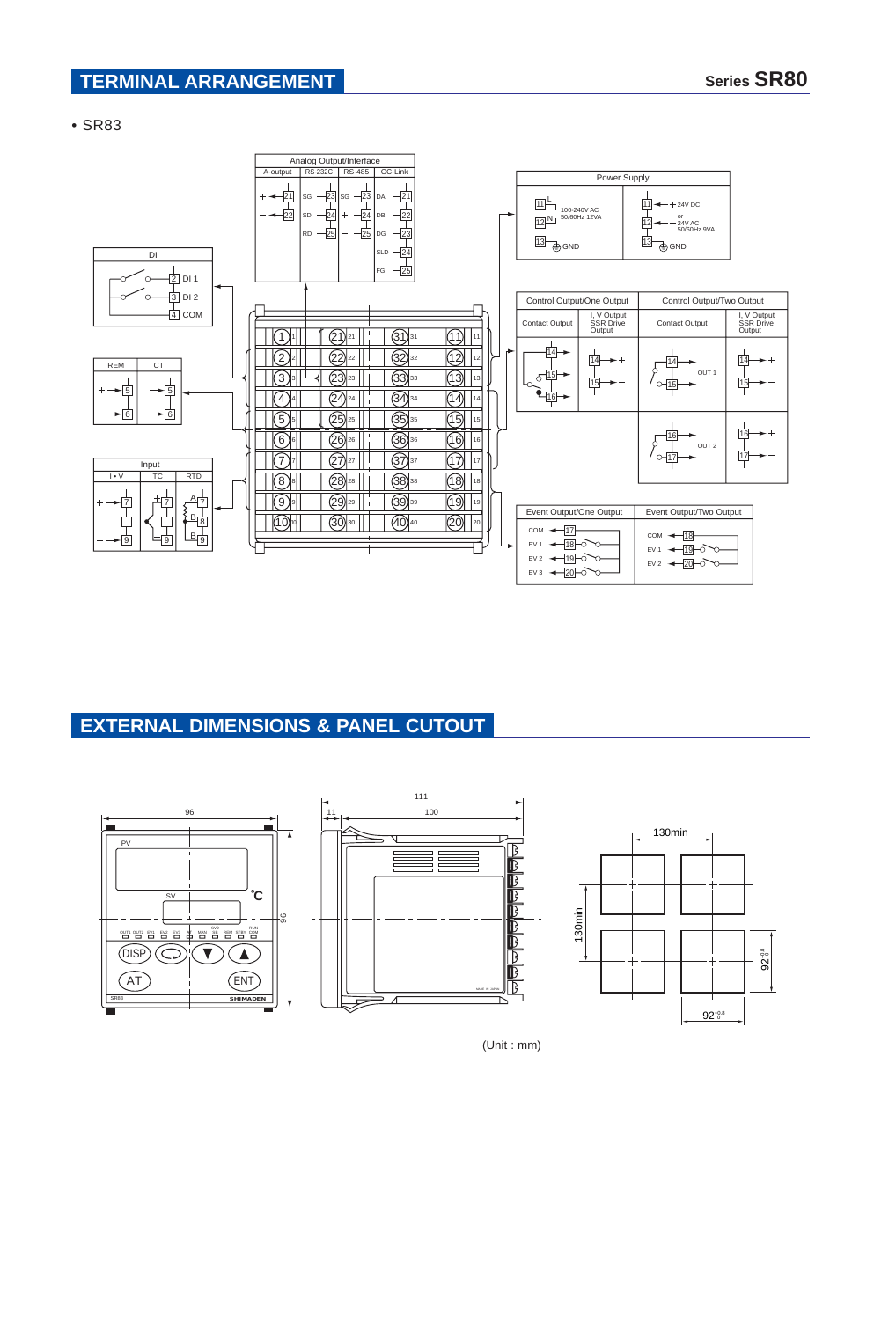### **TERMINAL ARRANGEMENT Series SR80**

• SR83



## **EXTERNAL DIMENSIONS & PANEL CUTOUT**



(Unit : mm)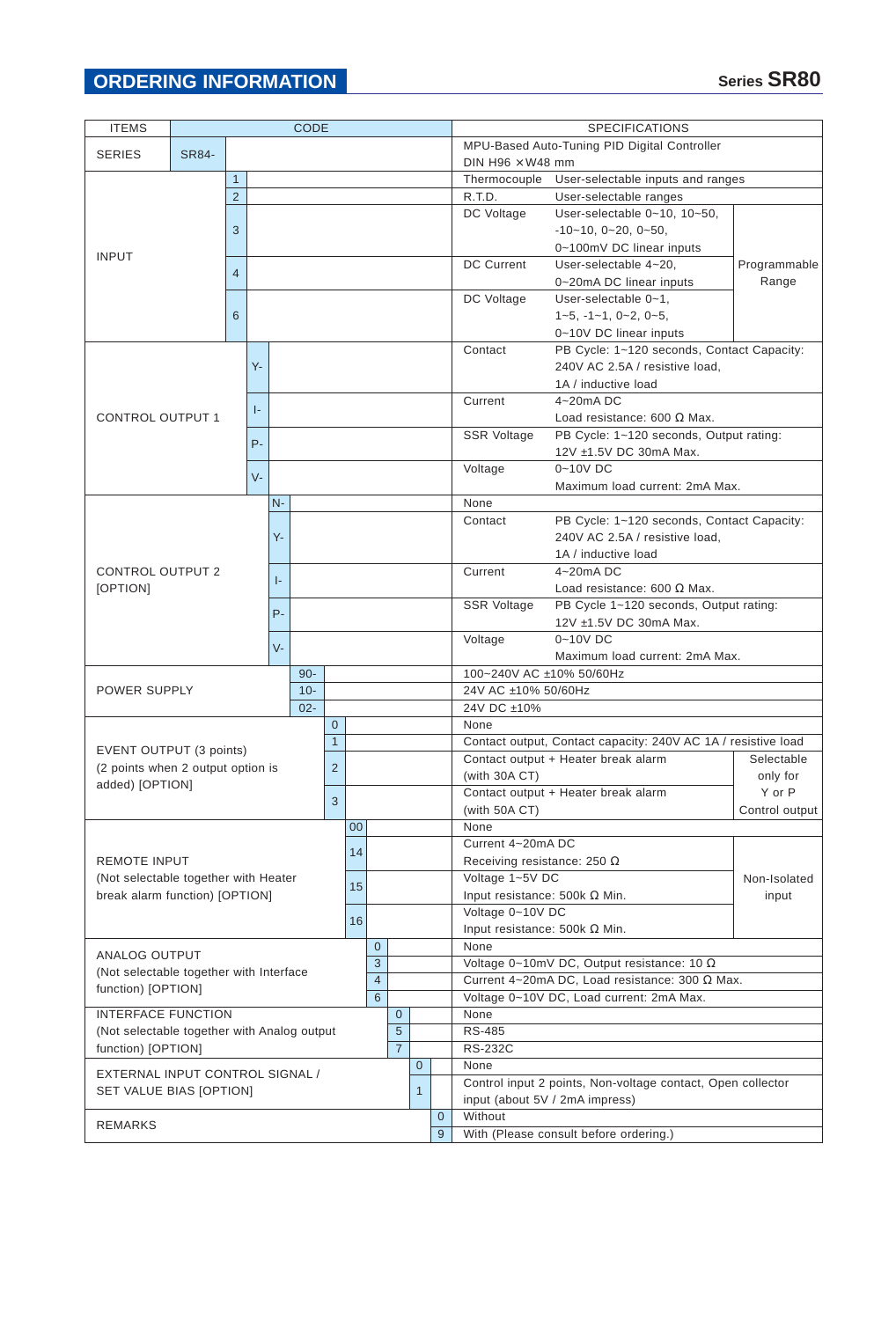| <b>ITEMS</b>                                | <b>CODE</b>  |                                   |       |                |                |                |    |                |                                                             |                                              |                                                   | <b>SPECIFICATIONS</b>                                         |                                                                   |              |  |                        |  |
|---------------------------------------------|--------------|-----------------------------------|-------|----------------|----------------|----------------|----|----------------|-------------------------------------------------------------|----------------------------------------------|---------------------------------------------------|---------------------------------------------------------------|-------------------------------------------------------------------|--------------|--|------------------------|--|
| <b>SERIES</b>                               | <b>SR84-</b> |                                   |       |                |                |                |    |                |                                                             | MPU-Based Auto-Tuning PID Digital Controller |                                                   |                                                               |                                                                   |              |  |                        |  |
|                                             |              |                                   |       |                |                |                |    |                | DIN H96 $\times$ W48 mm                                     |                                              |                                                   |                                                               |                                                                   |              |  |                        |  |
|                                             | $\mathbf{1}$ |                                   |       |                |                |                |    |                |                                                             |                                              | User-selectable inputs and ranges<br>Thermocouple |                                                               |                                                                   |              |  |                        |  |
|                                             |              | $\overline{2}$                    |       |                |                |                |    |                |                                                             |                                              |                                                   | R.T.D.<br>User-selectable ranges                              |                                                                   |              |  |                        |  |
|                                             |              |                                   |       |                |                |                |    |                |                                                             |                                              |                                                   | DC Voltage                                                    | User-selectable 0~10, 10~50,                                      |              |  |                        |  |
|                                             |              | 3                                 |       |                |                |                |    |                |                                                             |                                              |                                                   |                                                               | $-10-10$ , $0-20$ , $0-50$ ,                                      |              |  |                        |  |
| <b>INPUT</b>                                |              |                                   |       |                |                |                |    |                |                                                             |                                              |                                                   |                                                               | 0~100mV DC linear inputs                                          |              |  |                        |  |
|                                             |              | $\overline{4}$                    |       |                |                |                |    |                |                                                             |                                              |                                                   | <b>DC Current</b>                                             | User-selectable 4~20,                                             | Programmable |  |                        |  |
|                                             |              |                                   |       |                |                |                |    |                |                                                             |                                              |                                                   |                                                               | 0~20mA DC linear inputs                                           | Range        |  |                        |  |
|                                             |              |                                   |       |                |                |                |    |                |                                                             |                                              |                                                   | DC Voltage                                                    | User-selectable 0~1,                                              |              |  |                        |  |
|                                             |              | 6                                 |       |                |                |                |    |                |                                                             |                                              |                                                   |                                                               | $1-5, -1-1, 0-2, 0-5,$                                            |              |  |                        |  |
|                                             |              |                                   |       |                |                |                |    |                |                                                             |                                              |                                                   |                                                               | 0~10V DC linear inputs                                            |              |  |                        |  |
|                                             |              |                                   |       |                |                |                |    |                |                                                             |                                              |                                                   | Contact                                                       | PB Cycle: 1~120 seconds, Contact Capacity:                        |              |  |                        |  |
|                                             |              |                                   | $Y -$ |                |                |                |    |                |                                                             |                                              |                                                   |                                                               | 240V AC 2.5A / resistive load,                                    |              |  |                        |  |
|                                             |              |                                   |       |                |                |                |    |                |                                                             |                                              |                                                   |                                                               | 1A / inductive load                                               |              |  |                        |  |
|                                             |              |                                   | ŀ.    |                |                |                |    |                |                                                             |                                              |                                                   | Current                                                       | $4 - 20$ mADC                                                     |              |  |                        |  |
| <b>CONTROL OUTPUT 1</b>                     |              |                                   |       |                |                |                |    |                |                                                             |                                              |                                                   |                                                               | Load resistance: 600 $\Omega$ Max.                                |              |  |                        |  |
|                                             |              | $P -$                             |       |                |                |                |    |                |                                                             |                                              |                                                   | <b>SSR Voltage</b>                                            | PB Cycle: 1~120 seconds, Output rating:<br>12V ±1.5V DC 30mA Max. |              |  |                        |  |
|                                             |              |                                   |       |                |                |                |    |                |                                                             |                                              |                                                   |                                                               |                                                                   |              |  |                        |  |
|                                             |              |                                   | $V -$ |                |                |                |    |                |                                                             |                                              | Voltage                                           | $0 - 10V$ DC<br>Maximum load current: 2mA Max.                |                                                                   |              |  |                        |  |
|                                             |              |                                   | $N -$ |                |                |                |    |                |                                                             |                                              |                                                   | None                                                          |                                                                   |              |  |                        |  |
|                                             |              |                                   |       |                |                |                |    |                |                                                             |                                              |                                                   | Contact                                                       | PB Cycle: 1~120 seconds, Contact Capacity:                        |              |  |                        |  |
|                                             |              | Υ-                                |       |                |                |                |    |                |                                                             |                                              |                                                   | 240V AC 2.5A / resistive load,                                |                                                                   |              |  |                        |  |
|                                             |              |                                   |       |                |                |                |    |                |                                                             |                                              |                                                   |                                                               |                                                                   |              |  | 1A / inductive load    |  |
| <b>CONTROL OUTPUT 2</b>                     |              |                                   |       |                |                |                |    |                |                                                             |                                              |                                                   | Current                                                       | $4 - 20$ mADC                                                     |              |  |                        |  |
| [OPTION]                                    |              |                                   |       | $\vert$ -      |                |                |    |                |                                                             |                                              |                                                   | Load resistance: 600 $\Omega$ Max.                            |                                                                   |              |  |                        |  |
|                                             |              |                                   |       |                |                |                |    |                |                                                             |                                              |                                                   | <b>SSR Voltage</b>                                            | PB Cycle 1~120 seconds, Output rating:                            |              |  |                        |  |
|                                             |              |                                   |       |                | $P -$          |                |    |                |                                                             |                                              |                                                   |                                                               |                                                                   |              |  | 12V ±1.5V DC 30mA Max. |  |
|                                             |              |                                   |       |                |                |                |    |                |                                                             |                                              |                                                   | Voltage                                                       | 0~10V DC                                                          |              |  |                        |  |
|                                             |              |                                   |       | $V -$          |                |                |    |                |                                                             |                                              |                                                   |                                                               | Maximum load current: 2mA Max.                                    |              |  |                        |  |
|                                             |              |                                   |       |                | $90 -$         |                |    |                |                                                             |                                              |                                                   | 100~240V AC ±10% 50/60Hz                                      |                                                                   |              |  |                        |  |
| <b>POWER SUPPLY</b>                         |              |                                   |       |                | $10 -$         |                |    |                |                                                             |                                              |                                                   | 24V AC ±10% 50/60Hz                                           |                                                                   |              |  |                        |  |
|                                             |              |                                   |       | $02 -$         |                |                |    |                |                                                             |                                              | 24V DC ±10%                                       |                                                               |                                                                   |              |  |                        |  |
|                                             |              |                                   |       |                |                | $\overline{0}$ |    |                |                                                             |                                              |                                                   | None                                                          |                                                                   |              |  |                        |  |
| EVENT OUTPUT (3 points)                     |              |                                   |       |                |                | $\mathbf{1}$   |    |                |                                                             |                                              |                                                   | Contact output, Contact capacity: 240V AC 1A / resistive load |                                                                   |              |  |                        |  |
|                                             |              |                                   |       | $\overline{2}$ |                |                |    |                |                                                             |                                              | Contact output + Heater break alarm<br>Selectable |                                                               |                                                                   |              |  |                        |  |
| added) [OPTION]                             |              | (2 points when 2 output option is |       |                |                |                |    |                |                                                             |                                              | (with $30A$ CT)                                   | only for                                                      |                                                                   |              |  |                        |  |
|                                             |              |                                   |       |                | 3              |                |    |                |                                                             |                                              | $Y$ or $P$<br>Contact output + Heater break alarm |                                                               |                                                                   |              |  |                        |  |
|                                             |              |                                   |       |                |                |                |    |                |                                                             |                                              |                                                   | (with 50A CT)<br>Control output                               |                                                                   |              |  |                        |  |
|                                             |              |                                   |       |                |                |                |    | $00\,$         |                                                             |                                              |                                                   | None                                                          |                                                                   |              |  |                        |  |
|                                             |              |                                   |       |                |                |                | 14 |                |                                                             |                                              |                                                   | Current 4~20mA DC                                             |                                                                   |              |  |                        |  |
| <b>REMOTE INPUT</b>                         |              |                                   |       |                |                |                |    |                |                                                             |                                              |                                                   | Receiving resistance: 250 $\Omega$                            |                                                                   |              |  |                        |  |
| (Not selectable together with Heater        |              |                                   |       |                |                |                | 15 |                |                                                             |                                              |                                                   | Voltage 1~5V DC                                               | Non-Isolated                                                      |              |  |                        |  |
| break alarm function) [OPTION]              |              |                                   |       |                |                |                |    |                |                                                             |                                              |                                                   | Voltage 0~10V DC                                              | Input resistance: 500k $\Omega$ Min.                              | input        |  |                        |  |
|                                             |              |                                   |       |                |                |                | 16 |                |                                                             |                                              |                                                   |                                                               | Input resistance: 500k $\Omega$ Min.                              |              |  |                        |  |
|                                             |              |                                   |       |                |                |                |    | $\mathbf{0}$   |                                                             |                                              |                                                   | None                                                          |                                                                   |              |  |                        |  |
| ANALOG OUTPUT                               |              |                                   |       |                |                |                | 3  |                |                                                             |                                              |                                                   | Voltage 0~10mV DC, Output resistance: 10 $\Omega$             |                                                                   |              |  |                        |  |
| (Not selectable together with Interface     |              |                                   |       |                |                | $\overline{4}$ |    |                |                                                             |                                              | Current 4~20mA DC, Load resistance: 300 Ω Max.    |                                                               |                                                                   |              |  |                        |  |
| function) [OPTION]                          |              |                                   |       |                | 6              |                |    |                |                                                             | Voltage 0~10V DC, Load current: 2mA Max.     |                                                   |                                                               |                                                                   |              |  |                        |  |
| <b>INTERFACE FUNCTION</b>                   |              |                                   |       |                | $\mathbf{0}$   |                |    | None           |                                                             |                                              |                                                   |                                                               |                                                                   |              |  |                        |  |
| (Not selectable together with Analog output |              |                                   |       |                | 5              |                |    | <b>RS-485</b>  |                                                             |                                              |                                                   |                                                               |                                                                   |              |  |                        |  |
| function) [OPTION]                          |              |                                   |       |                | $\overline{7}$ |                |    | <b>RS-232C</b> |                                                             |                                              |                                                   |                                                               |                                                                   |              |  |                        |  |
|                                             |              |                                   |       |                |                |                |    |                |                                                             | $\overline{0}$                               |                                                   | None                                                          |                                                                   |              |  |                        |  |
| EXTERNAL INPUT CONTROL SIGNAL /             |              |                                   |       |                |                |                |    |                | Control input 2 points, Non-voltage contact, Open collector |                                              |                                                   |                                                               |                                                                   |              |  |                        |  |
| SET VALUE BIAS [OPTION]                     |              |                                   |       |                |                |                |    |                |                                                             | $\mathbf{1}$                                 |                                                   |                                                               | input (about 5V / 2mA impress)                                    |              |  |                        |  |
|                                             |              |                                   |       |                |                |                |    |                |                                                             |                                              | $\mathbf{0}$                                      | Without                                                       |                                                                   |              |  |                        |  |
| <b>REMARKS</b>                              |              |                                   |       |                |                |                |    |                | 9                                                           |                                              | With (Please consult before ordering.)            |                                                               |                                                                   |              |  |                        |  |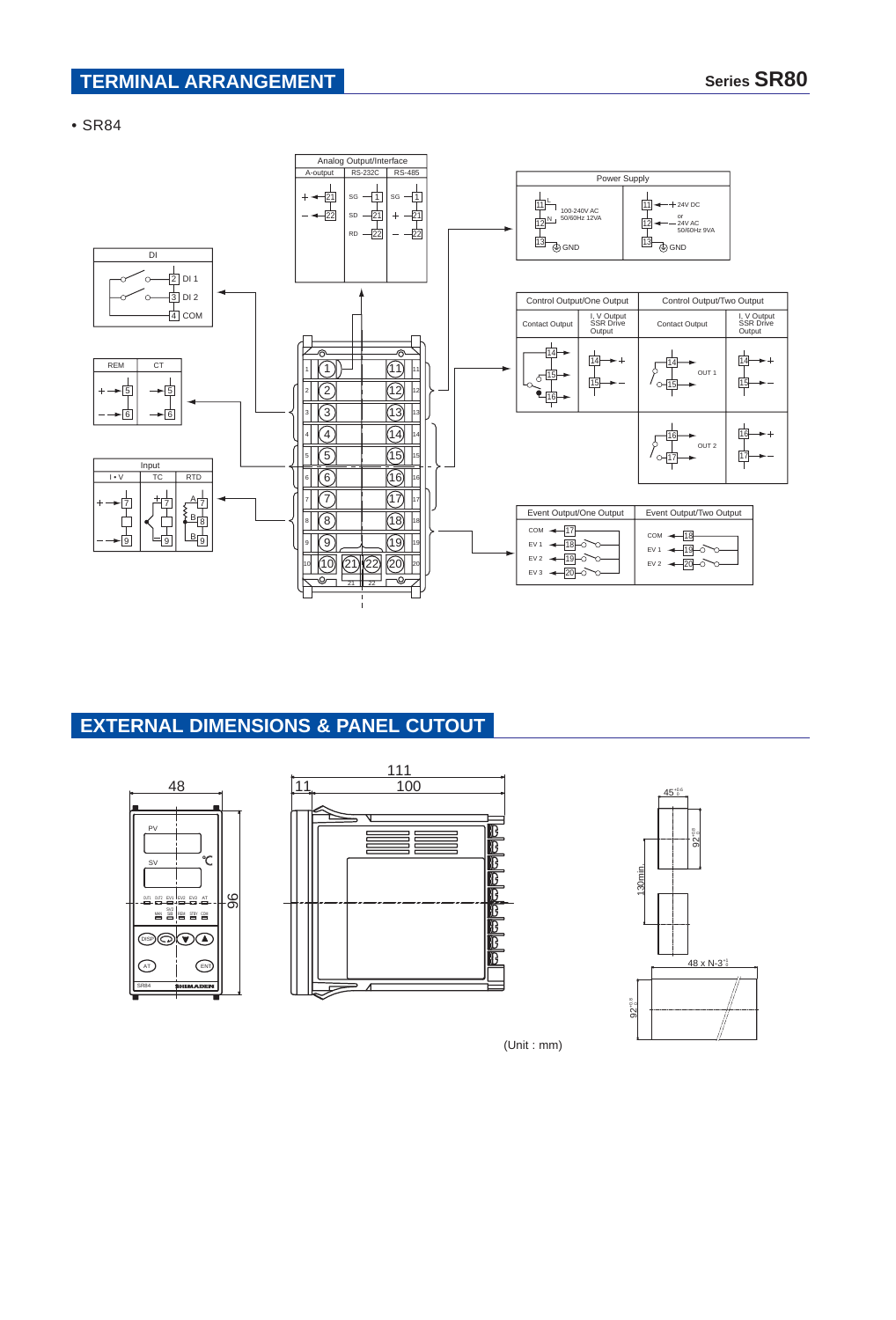### **TERMINAL ARRANGEMENT Series SR80**

• SR84



# **EXTERNAL DIMENSIONS & PANEL CUTOUT**







(Unit : mm)